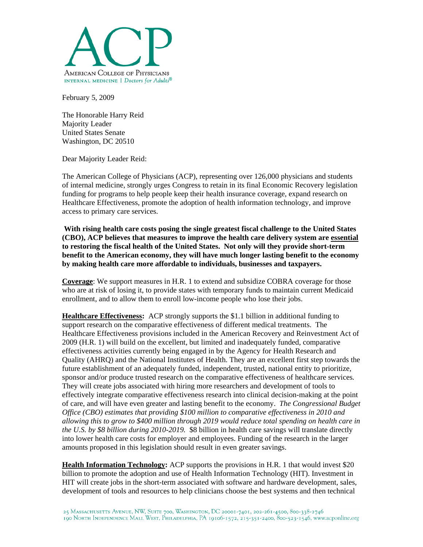

February 5, 2009

The Honorable Harry Reid Majority Leader United States Senate Washington, DC 20510

Dear Majority Leader Reid:

The American College of Physicians (ACP), representing over 126,000 physicians and students of internal medicine, strongly urges Congress to retain in its final Economic Recovery legislation funding for programs to help people keep their health insurance coverage, expand research on Healthcare Effectiveness, promote the adoption of health information technology, and improve access to primary care services.

**With rising health care costs posing the single greatest fiscal challenge to the United States (CBO), ACP believes that measures to improve the health care delivery system are essential to restoring the fiscal health of the United States. Not only will they provide short-term benefit to the American economy, they will have much longer lasting benefit to the economy by making health care more affordable to individuals, businesses and taxpayers.** 

**Coverage**: We support measures in H.R. 1 to extend and subsidize COBRA coverage for those who are at risk of losing it, to provide states with temporary funds to maintain current Medicaid enrollment, and to allow them to enroll low-income people who lose their jobs.

**Healthcare Effectiveness:** ACP strongly supports the \$1.1 billion in additional funding to support research on the comparative effectiveness of different medical treatments. The Healthcare Effectiveness provisions included in the American Recovery and Reinvestment Act of 2009 (H.R. 1) will build on the excellent, but limited and inadequately funded, comparative effectiveness activities currently being engaged in by the Agency for Health Research and Quality (AHRQ) and the National Institutes of Health. They are an excellent first step towards the future establishment of an adequately funded, independent, trusted, national entity to prioritize, sponsor and/or produce trusted research on the comparative effectiveness of healthcare services. They will create jobs associated with hiring more researchers and development of tools to effectively integrate comparative effectiveness research into clinical decision-making at the point of care, and will have even greater and lasting benefit to the economy. *The Congressional Budget Office (CBO) estimates that providing \$100 million to comparative effectiveness in 2010 and allowing this to grow to \$400 million through 2019 would reduce total spending on health care in the U.S. by \$8 billion during 2010-2019.* \$8 billion in health care savings will translate directly into lower health care costs for employer and employees. Funding of the research in the larger amounts proposed in this legislation should result in even greater savings.

**Health Information Technology:** ACP supports the provisions in H.R. 1 that would invest \$20 billion to promote the adoption and use of Health Information Technology (HIT). Investment in HIT will create jobs in the short-term associated with software and hardware development, sales, development of tools and resources to help clinicians choose the best systems and then technical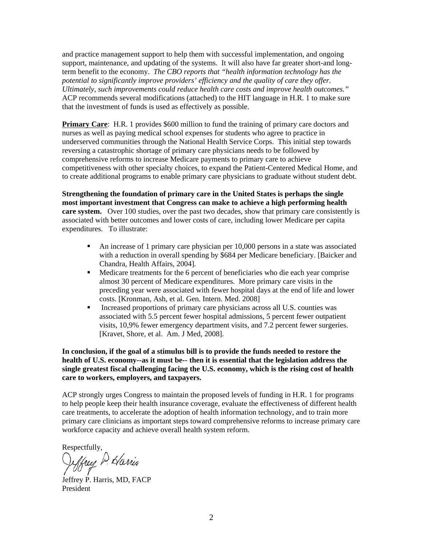and practice management support to help them with successful implementation, and ongoing support, maintenance, and updating of the systems. It will also have far greater short-and longterm benefit to the economy. *The CBO reports that "health information technology has the potential to significantly improve providers' efficiency and the quality of care they offer. Ultimately, such improvements could reduce health care costs and improve health outcomes."*  ACP recommends several modifications (attached) to the HIT language in H.R. 1 to make sure that the investment of funds is used as effectively as possible.

**Primary Care:** H.R. 1 provides \$600 million to fund the training of primary care doctors and nurses as well as paying medical school expenses for students who agree to practice in underserved communities through the National Health Service Corps. This initial step towards reversing a catastrophic shortage of primary care physicians needs to be followed by comprehensive reforms to increase Medicare payments to primary care to achieve competitiveness with other specialty choices, to expand the Patient-Centered Medical Home, and to create additional programs to enable primary care physicians to graduate without student debt.

**Strengthening the foundation of primary care in the United States is perhaps the single most important investment that Congress can make to achieve a high performing health care system.** Over 100 studies, over the past two decades, show that primary care consistently is associated with better outcomes and lower costs of care, including lower Medicare per capita expenditures. To illustrate:

- An increase of 1 primary care physician per 10,000 persons in a state was associated with a reduction in overall spending by \$684 per Medicare beneficiary. [Baicker and Chandra, Health Affairs, 2004].
- Medicare treatments for the 6 percent of beneficiaries who die each year comprise almost 30 percent of Medicare expenditures. More primary care visits in the preceding year were associated with fewer hospital days at the end of life and lower costs. [Kronman, Ash, et al. Gen. Intern. Med. 2008]
- Increased proportions of primary care physicians across all U.S. counties was associated with 5.5 percent fewer hospital admissions, 5 percent fewer outpatient visits, 10,9% fewer emergency department visits, and 7.2 percent fewer surgeries. [Kravet, Shore, et al. Am. J Med, 2008].

**In conclusion, if the goal of a stimulus bill is to provide the funds needed to restore the health of U.S. economy--as it must be-- then it is essential that the legislation address the single greatest fiscal challenging facing the U.S. economy, which is the rising cost of health care to workers, employers, and taxpayers.** 

ACP strongly urges Congress to maintain the proposed levels of funding in H.R. 1 for programs to help people keep their health insurance coverage, evaluate the effectiveness of different health care treatments, to accelerate the adoption of health information technology, and to train more primary care clinicians as important steps toward comprehensive reforms to increase primary care workforce capacity and achieve overall health system reform.

Respectfully,

reffrey P. Harris

Jeffrey P. Harris, MD, FACP President